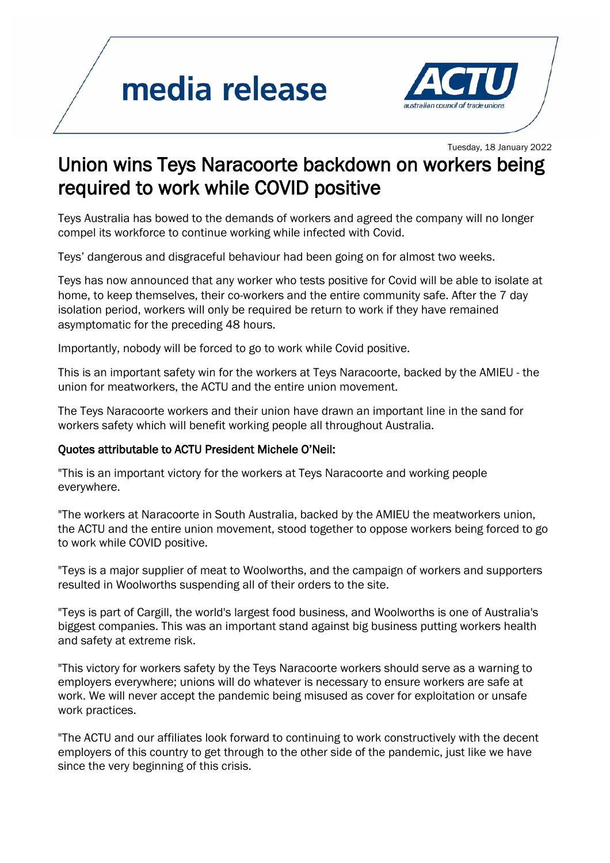## media release



## **Tuesday, 18 January 2022**<br>Union wins Teys Naracoorte backdown on workers being required to work while COVID positive

Teys Australia has bowed to the demands of workers and agreed the company will no longer compel its workforce to continue working while infected with Covid.

Teys' dangerous and disgraceful behaviour had been going on for almost two weeks.

Teys has now announced that any worker who tests positive for Covid will be able to isolate at home, to keep themselves, their co-workers and the entire community safe. After the 7 day isolation period, workers will only be required be return to work if they have remained asymptomatic for the preceding 48 hours.

Importantly, nobody will be forced to go to work while Covid positive.

This is an important safety win for the workers at Teys Naracoorte, backed by the AMIEU - the union for meatworkers, the ACTU and the entire union movement.

The Teys Naracoorte workers and their union have drawn an important line in the sand for workers safety which will benefit working people all throughout Australia.

## Quotes attributable to ACTU President Michele O'Neil:

"This is an important victory for the workers at Teys Naracoorte and working people everywhere.

"The workers at Naracoorte in South Australia, backed by the AMIEU the meatworkers union, the ACTU and the entire union movement, stood together to oppose workers being forced to go to work while COVID positive.

"Teys is a major supplier of meat to Woolworths, and the campaign of workers and supporters resulted in Woolworths suspending all of their orders to the site.

"Teys is part of Cargill, the world's largest food business, and Woolworths is one of Australia's biggest companies. This was an important stand against big business putting workers health and safety at extreme risk.

"This victory for workers safety by the Teys Naracoorte workers should serve as a warning to employers everywhere; unions will do whatever is necessary to ensure workers are safe at work. We will never accept the pandemic being misused as cover for exploitation or unsafe work practices.

"The ACTU and our affiliates look forward to continuing to work constructively with the decent employers of this country to get through to the other side of the pandemic, just like we have since the very beginning of this crisis.